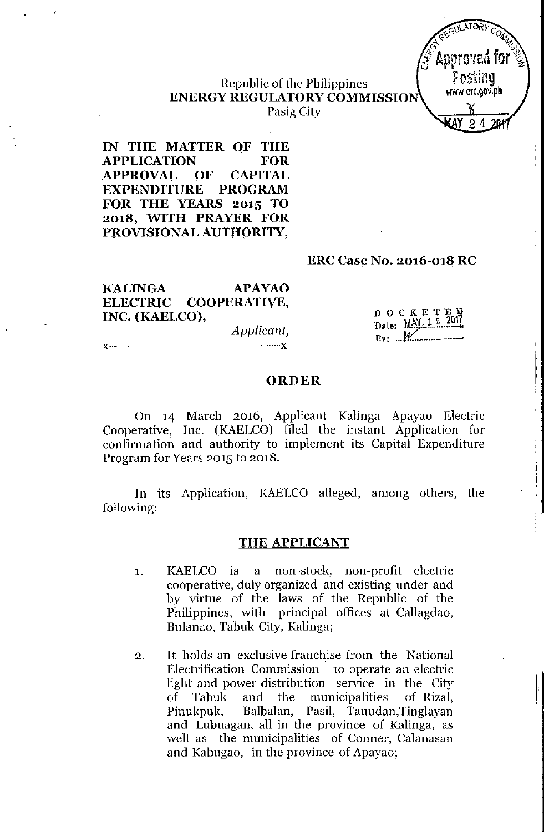

I

# Republic of the Philippines ENERGY REGULATORY COMMISSION

Pasig City

IN THE MATTER OF THE APPLICATION FOR APPROVAI~ OF CAPITAL EXPENDITURE PROGRAM FOR THE YEARS 2015 TO 2018, WITH PRAYER FOR PROVISIONAL AUTHORITY,

### ERC Case No. 2016-018 RC

KALINGA APAYAO ELECTRIC COOPERATIVE, INC. (KAELCO), *Applicant,*

x-------------------------------------x

DOCKETE Date: MAY 15 2017  $Bv: M$ 

#### ORDER

On 14 March 2016, Applicant Kalinga Apayao Electric Cooperative, Inc. (KAELCO) filed the instant Application for confirmation and authority to implement its Capital Expenditure Program for Years 2015 to 2018.

In its Application, KAELCO alleged, among others, the following:

#### THE APPLICANT

- 1. KAELCO is a non-stock, non-profit electric cooperative, duly organized and existing under and by virtue of the laws of the Republic of the Philippines, with principal offices at Callagdao, Bulanao, Tabuk City, Kalinga;
- 2. It holds an exclusive franchise from the National Electrification Commission to operate an electric light and power distribution service in the City of Tabuk and the municipalities of Rizal, Pinukpuk, Balbalan, Pasil, Tanudan, Tinglayan and Lubuagan, all in the province of Kalinga, as well as the municipalities of Conner, Calanasan and Kabugao, in the province of Apayao;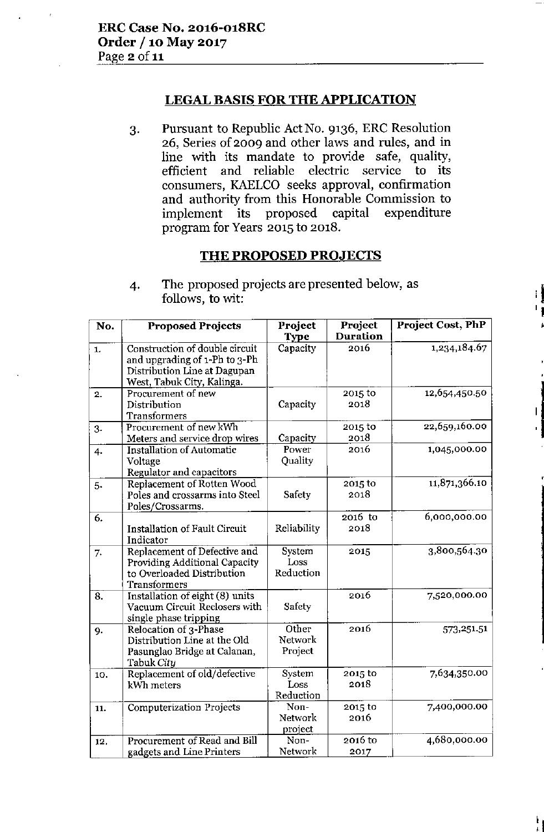# LEGAL BASIS FOR THE APPLICATION

3. Pursuant to Republic ActNo. 9136, ERC Resolution 26, Series of 2009 and other laws and rules, and in line with its mandate to provide safe, quality, efficient and reliable electric service to its consumers, KAELCO seeks approval, confirmation and authority from this Honorable Commission to implement its proposed capital expenditure program for Years 2015 to 2018.

# THE PROPOSED PROJECTS

|<br>|<br>| ,

I ן<br>|<br>|

4. The proposed projects are presented below, as<br>follows, to wit:

| No. | <b>Proposed Projects</b>                                        | Project     | Project         | <b>Project Cost, PhP</b> |
|-----|-----------------------------------------------------------------|-------------|-----------------|--------------------------|
|     |                                                                 | Type        | <b>Duration</b> |                          |
| 1.  | Construction of double circuit<br>and upgrading of 1-Ph to 3-Ph | Capacity    | 2016            | 1,234,184.67             |
|     | Distribution Line at Dagupan<br>West, Tabuk City, Kalinga.      |             |                 |                          |
| 2.  | Procurement of new                                              |             | 2015 to         | 12,654,450.50            |
|     | Distribution                                                    | Capacity    | 2018            |                          |
|     | <b>Transformers</b>                                             |             |                 |                          |
| 3.  | Procurement of new kWh                                          |             | 2015 to         | 22,659,160.00            |
|     | Meters and service drop wires                                   | Capacity    | 2018            |                          |
| 4.  | <b>Installation of Automatic</b>                                | Power       | 2016            | 1,045,000.00             |
|     | Voltage                                                         | Quality     |                 |                          |
|     | Regulator and capacitors                                        |             |                 |                          |
| 5.  | Replacement of Rotten Wood                                      |             | 2015 to         | 11,871,366.10            |
|     | Poles and crossarms into Steel                                  | Safety      | 2018            |                          |
|     | Poles/Crossarms.                                                |             |                 |                          |
| 6.  |                                                                 |             | 2016 to         | 6,000,000.00             |
|     | <b>Installation of Fault Circuit</b>                            | Reliability | 2018            |                          |
|     | Indicator                                                       |             |                 |                          |
| 7.  | Replacement of Defective and                                    | System      | 2015            | 3,800,564.30             |
|     | Providing Additional Capacity                                   | Loss        |                 |                          |
|     | to Overloaded Distribution                                      | Reduction   |                 |                          |
|     | <b>Transformers</b>                                             |             |                 |                          |
| 8.  | Installation of eight (8) units                                 |             | 2016            | 7,520,000.00             |
|     | Vacuum Circuit Reclosers with                                   | Safety      |                 |                          |
|     | single phase tripping                                           |             |                 |                          |
| 9.  | Relocation of 3-Phase                                           | Other       | 2016            | 573,251.51               |
|     | Distribution Line at the Old                                    | Network     |                 |                          |
|     | Pasunglao Bridge at Calanan,                                    | Project     |                 |                          |
|     | Tabuk City                                                      |             |                 |                          |
| 10. | Replacement of old/defective                                    | System      | 2015 to         | 7,634,350.00             |
|     | kWh meters                                                      | Loss        | 2018            |                          |
|     |                                                                 | Reduction   |                 |                          |
| 11. | <b>Computerization Projects</b>                                 | Non-        | 2015 to         | 7,400,000.00             |
|     |                                                                 | Network     | 2016            |                          |
|     |                                                                 | project     |                 |                          |
| 12. | Procurement of Read and Bill                                    | Non-        | 2016 to         | 4,680,000.00             |
|     | gadgets and Line Printers                                       | Network     | 2017            |                          |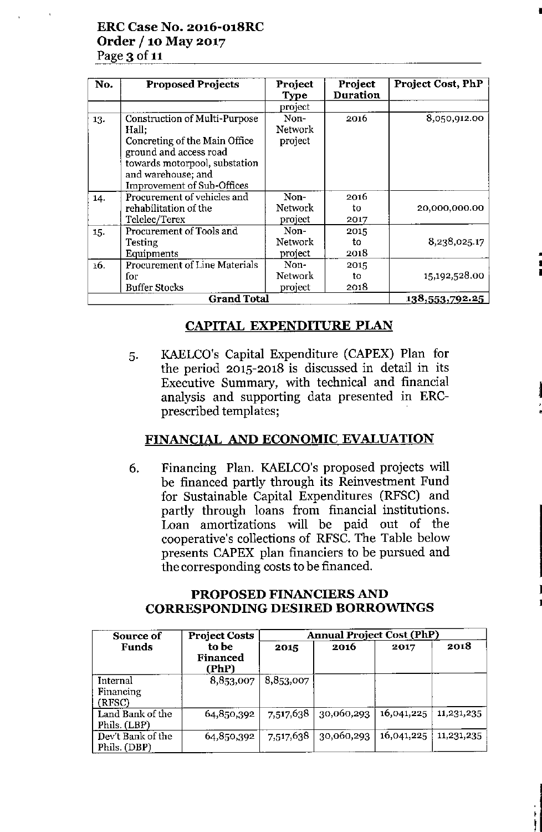## ERC Case No. 2016-0l8RC Order / 10 May 2017 Page 3 of 11

| No. | <b>Proposed Projects</b>                                                                                                                                                                      | Project<br><b>Type</b>            | Project<br><b>Duration</b> | Project Cost, PhP |
|-----|-----------------------------------------------------------------------------------------------------------------------------------------------------------------------------------------------|-----------------------------------|----------------------------|-------------------|
|     |                                                                                                                                                                                               | project                           |                            |                   |
| 13. | Construction of Multi-Purpose<br>Hall;<br>Concreting of the Main Office<br>ground and access road<br>towards motorpool, substation<br>and warehouse; and<br><b>Improvement of Sub-Offices</b> | Non-<br>Network<br>project        | 2016                       | 8,050,912.00      |
| 14. | Procurement of vehicles and<br>rehabilitation of the<br>Telelec/Terex                                                                                                                         | Non-<br><b>Network</b><br>project | 2016<br>to<br>2017         | 20,000,000.00     |
| 15. | Procurement of Tools and<br>Testing<br>Equipments                                                                                                                                             | Non-<br>Network<br>project        | 2015<br>to<br>2018         | 8,238,025.17      |
| 16. | <b>Procurement of Line Materials</b><br>for<br><b>Buffer Stocks</b>                                                                                                                           | Non-<br>Network<br>project        | 2015<br>to<br>2018         | 15,192,528.00     |
|     | <b>Grand Total</b>                                                                                                                                                                            |                                   |                            | 138,553,792.25    |

•

• • •

:1

•

I .<br>1

ł

# CAPITAL EXPENDITURE PLAN

5. KAELCO's Capital Expenditure *(CAPEK)* Plan for the period 2015-2018 is discussed in detail in its Executive Summary, with technical and financial analysis and supporting data presented in ERCprescribed templates;

# FINANCIAL AND ECONOMIC EVALUATION

6. Financing Plan. KAELCO's proposed projects will be financed partly through its Reinvestment Fund for Sustainable Capital Expenditures (RFSC) and partly through loans from financial institutions. Loan amortizations will be paid out of the cooperative's collections of RFSC. The Table below presents *CAPEK* plan financiers to be pursued and the corresponding costs to be financed.

### PROPOSED FINANCIERS AND CORRESPONDING DESIRED BORROWINGS

| Source of                         | <b>Project Costs</b>              | <b>Annual Project Cost (PhP)</b> |            |            |            |  |
|-----------------------------------|-----------------------------------|----------------------------------|------------|------------|------------|--|
| Funds                             | to be<br><b>Financed</b><br>(PhP) | 2015                             | 2016       | 2017       | 2018       |  |
| Internal<br>Financing<br>(RFSC)   | 8,853,007                         | 8,853,007                        |            |            |            |  |
| Land Bank of the<br>Phils. (LBP)  | 64,850,392                        | 7,517,638                        | 30,060,293 | 16,041,225 | 11,231,235 |  |
| Dev't Bank of the<br>Phils. (DBP) | 64,850,392                        | 7,517,638                        | 30,060,293 | 16,041,225 | 11,231,235 |  |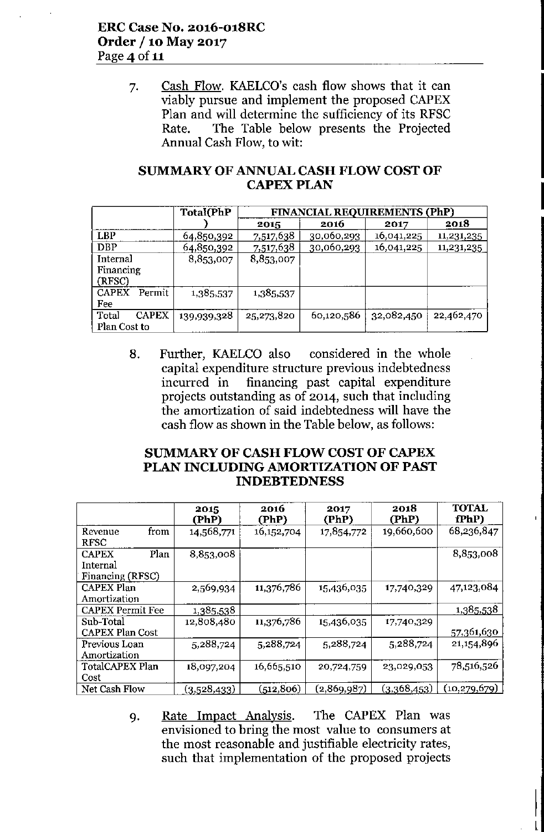7. Cash Flow. KAELCO's cash flow shows that it can viably pursue and implement the proposed CAPEX Plan and will determine the sufficiency of its RFSC Rate. The Table below presents the Projected Annual Cash Flow, to wit:

## SUMMARY OF ANNUAL CASH FLOW COST OF **CAPEX PLAN**

|                                       | CAPEX PLAN  |                                     |            |            |            |  |  |
|---------------------------------------|-------------|-------------------------------------|------------|------------|------------|--|--|
|                                       | Total(PhP   | <b>FINANCIAL REQUIREMENTS (PhP)</b> |            |            |            |  |  |
|                                       |             | 2015                                | 2016       | 2017       | 2018       |  |  |
| <b>LBP</b>                            | 64,850,392  | 7,517,638                           | 30,060,293 | 16,041,225 | 11,231,235 |  |  |
| <b>DBP</b>                            | 64,850,392  | 7,517,638                           | 30,060,293 | 16,041,225 | 11,231,235 |  |  |
| Internal<br>Financing<br>(RFSC)       | 8,853,007   | 8,853,007                           |            |            |            |  |  |
| Permit<br><b>CAPEX</b><br>Fee         | 1,385,537   | 1,385,537                           |            |            |            |  |  |
| <b>CAPEX</b><br>Total<br>Plan Cost to | 139,939,328 | 25,273,820                          | 60,120,586 | 32,082,450 | 22,462,470 |  |  |

8. Further, KAELCO also considered in the whole capital expenditure structure previous indebtedness incurred in financing past capital expenditure projects outstanding as of 2014, such that including the amortization of said indebtedness will have the cash flow as shown in the Table below, as follows:

### SUMMARY OF CASH FLOW COST OF CAPEX PLAN INCLUDING AMORTIZATION OF PAST INDEBTEDNESS

|                                                      | 2015<br>(PhP)       | 2016<br>(PhP) | 2017<br>(PhP) | 2018<br>(PhP) | <b>TOTAL</b><br>fPhP) |
|------------------------------------------------------|---------------------|---------------|---------------|---------------|-----------------------|
| Revenue<br>from<br><b>RFSC</b>                       | 14,568,771          | 16, 152, 704  | 17,854,772    | 19,660,600    | 68,236,847            |
| Plan<br><b>CAPEX</b><br>Internal<br>Financing (RFSC) | 8,853,008           |               |               |               | 8,853,008             |
| <b>CAPEX Plan</b><br>Amortization                    | 2,569,934           | 11,376,786    | 15,436,035    | 17,740,329    | 47,123,084            |
| <b>CAPEX Permit Fee</b>                              | 1,385,538           |               |               |               | <u>1,385,538</u>      |
| Sub-Total<br><b>CAPEX Plan Cost</b>                  | 12,808,480          | 11,376,786    | 15,436,035    | 17,740,329    | 57,361,630            |
| Previous Loan<br>Amortization                        | 5,288,724           | 5,288,724     | 5,288,724     | 5,288,724     | 21, 154, 896          |
| TotalCAPEX Plan<br>Cost                              | 18,097,204          | 16,665,510    | 20,724,759    | 23,029,053    | 78,516,526            |
| Net Cash Flow                                        | (3, <u>528,433)</u> | (512,806)     | (2,869,987)   | (3,368,453)   | (10, 279, 679)        |

9. Rate Impact Analysis. The CAPEX Plan was envisioned to bring the most value to consumers at the most reasonable and justifiable electricity rates, such that implementation of the proposed projects

> I I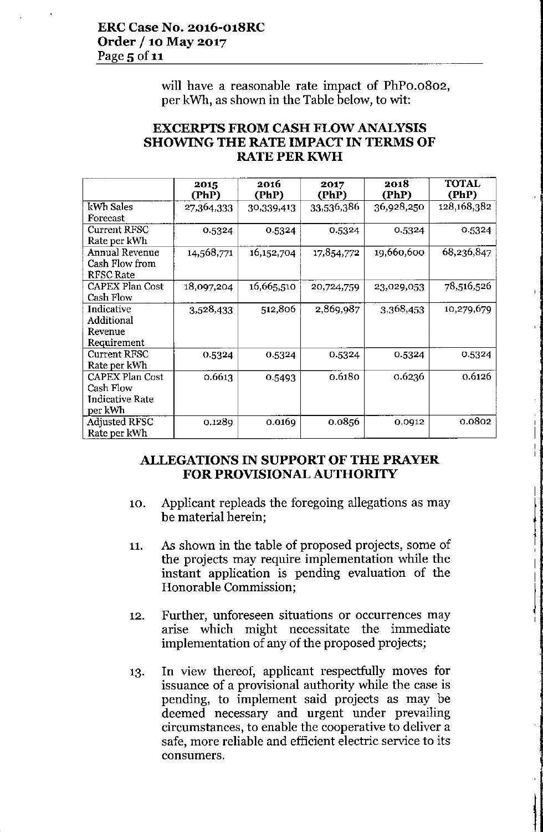will have a reasonable rate impact of PhPo.o802, per kWh, as shown in the Table below, to wit:

| <b>EXCERPTS FROM CASH FLOW ANALYSIS</b>    |
|--------------------------------------------|
| <b>SHOWING THE RATE IMPACT IN TERMS OF</b> |
| <b>RATE PER KWH</b>                        |

|                                                                          | 2015<br>(PhP) | 2016<br>(PhP) | 2017<br>(PhP) | 2018<br>(PhP) | <b>TOTAL</b><br>(PhP) |
|--------------------------------------------------------------------------|---------------|---------------|---------------|---------------|-----------------------|
| kWh Sales<br>Forecast                                                    | 27,364,333    | 30,339,413    | 33,536,386    | 36,928,250    | 128,168,382           |
| <b>Current RFSC</b><br>Rate per kWh                                      | 0.5324        | 0.5324        | 0.5324        | 0.5324        | 0.5324                |
| <b>Annual Revenue</b><br>Cash Flow from<br><b>RFSC Rate</b>              | 14,568,771    | 16,152,704    | 17,854,772    | 19,660,600    | 68,236,847            |
| <b>CAPEX Plan Cost</b><br>Cash Flow                                      | 18,097,204    | 16,665,510    | 20,724,759    | 23,029,053    | 78,516,526            |
| Indicative<br>Additional<br>Revenue<br>Requirement                       | 3,528,433     | 512,806       | 2,869,987     | 3,368,453     | 10,279,679            |
| <b>Current RFSC</b><br>Rate per kWh                                      | 0.5324        | 0.5324        | 0.5324        | 0.5324        | 0.5324                |
| <b>CAPEX Plan Cost</b><br>Cash Flow<br><b>Indicative Rate</b><br>per kWh | 0.6613        | 0.5493        | 0.6180        | 0.6236        | 0.6126                |
| <b>Adjusted RFSC</b><br>Rate per kWh                                     | 0.1289        | 0.0169        | 0.0856        | 0.0912        | 0.0802                |

## **ALLEGATIONS IN SUPPORT OF THE PRAYER FOR PROVISIONAL AUTHORITY**

- 10. Applicant repleads the foregoing allegations as may be material herein;
- 11. As shown in the table of proposed projects, some of the projects may require implementation while the instant application is pending evaluation of the Honorable Commission;
- 12. Further, unforeseen situations or occurrences may arise which might necessitate the immediate implementation of any of the proposed projects;
- 13. In view thereof, applicant respectfully moves for issuance of a provisional authority while the case is pending, to implement said projects as may be deemed necessary and urgent under prevailing circumstances, to enable the cooperative to deliver a safe, more reliable and efficient electric service to its **consumers.**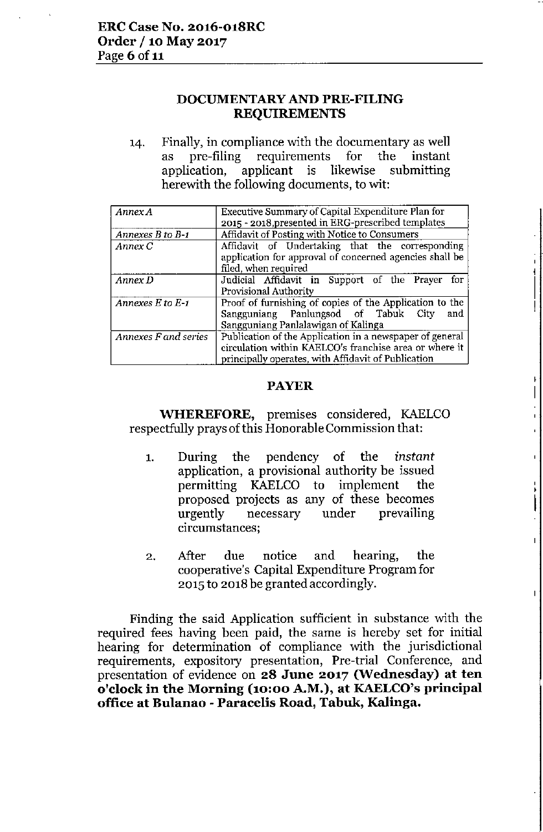## **DOCUMENTARYAND PRE-FILING REQUIREMENTS**

14. Finally, in compliance with the documentary as well as pre-filing requirements for the instant application, applicant is likewise submitting herewith the following documents, to wit:

| Annex A               | Executive Summary of Capital Expenditure Plan for        |  |  |
|-----------------------|----------------------------------------------------------|--|--|
|                       | 2015 - 2018, presented in ERG-prescribed templates       |  |  |
| Annexes B to B-1      | Affidavit of Posting with Notice to Consumers            |  |  |
| Annex C               | Affidavit of Undertaking that the corresponding          |  |  |
|                       | application for approval of concerned agencies shall be  |  |  |
|                       | filed, when required                                     |  |  |
| Annex D               | Judicial Affidavit in Support of the Prayer for          |  |  |
|                       | Provisional Authority                                    |  |  |
| Annexes $E$ to $E$ -1 | Proof of furnishing of copies of the Application to the  |  |  |
|                       | Sangguniang Panlungsod of Tabuk City<br>and              |  |  |
|                       | Sangguniang Panlalawigan of Kalinga                      |  |  |
| Annexes F and series  | Publication of the Application in a newspaper of general |  |  |
|                       | circulation within KAELCO's franchise area or where it   |  |  |
|                       | principally operates, with Affidavit of Publication      |  |  |

#### **PAYER**

**WHEREFORE,** premises considered, KAELCO respectfully prays of this Honorable Commission that:

- 1. During the pendency of the *instant* application, a provisional authority be issued permitting KAELCO to implement the proposed projects as any of these becomes urgently necessary under prevailing **circumstances;**
- 2. After due notice and hearing, the cooperative's Capital Expenditure Program for 2015 to 2018 be granted accordingly.

Finding the said Application sufficient in substance with the required fees having been paid, the same is hereby set for initial hearing for determination of compliance with the jurisdictional requirements, expository presentation, Pre-trial Conference, and presentation of evidence on **28 June 2017 (Wednesday) at ten o'clock in the Morning (10:00 A.M.), at KAELCO'sprincipal office at Bulanao -** Para celis **Road, Tabuk, Kalinga.**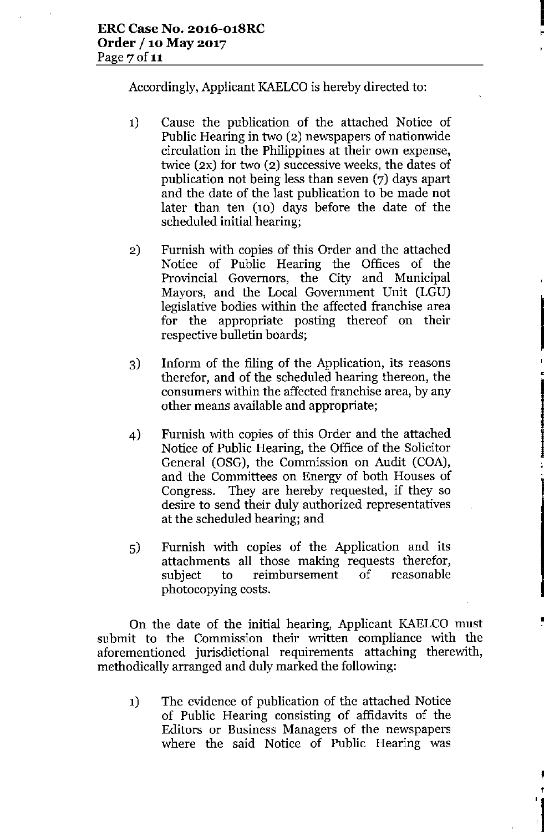Accordingly, Applicant KAELCO is hereby directed to:

I<br>I The Li

••

•

•

,

r

- **1)** Cause the publication of the attached Notice of Public Hearing in two (2) newspapers of nationwide circulation in the Philippines at their own expense, twice (2X) for two (2) successive weeks, the dates of publication not being less than seven (7) days apart and the date of the last publication to be made not later than ten (10) days before the date of the scheduled initial hearing;
- 2) Furnish with copies of this Order and the attached Notice of Public Hearing the Offices of the Provincial Governors, the City and Municipal Mayors, and the Local Government Unit (LGU) legislative bodies within the affected franchise area for the appropriate posting thereof on their respective bulletin boards;
- 3) Inform of the filing of the Application, its reasons therefor, and of the scheduled hearing thereon, the consumers within the affected franchise area, by any other means available and appropriate;
- 4) Furnish with copies of this Order and the attached Notice of Public Hearing, the Office of the Solicitor General (OSG), the Commission on Audit (COA), and the Committees on Energy of both Houses of Congress. They are hereby requested, if they so desire to send their duly authorized representatives at the scheduled hearing; and
- 5) Furnish with copies of the Application and its attachments all those making requests therefor, subject to reimbursement of photocopying costs.

On the date of the initial hearing, Applicant KAELCO must submit to the Commission their written compliance with the aforementioned jurisdictional requirements attaching therewith, methodically arranged and duly marked the following:

**1)** The evidence of publication of the attached Notice of Public Hearing consisting of affidavits of the Editors or Business Managers of the newspapers where the said Notice of Public Hearing was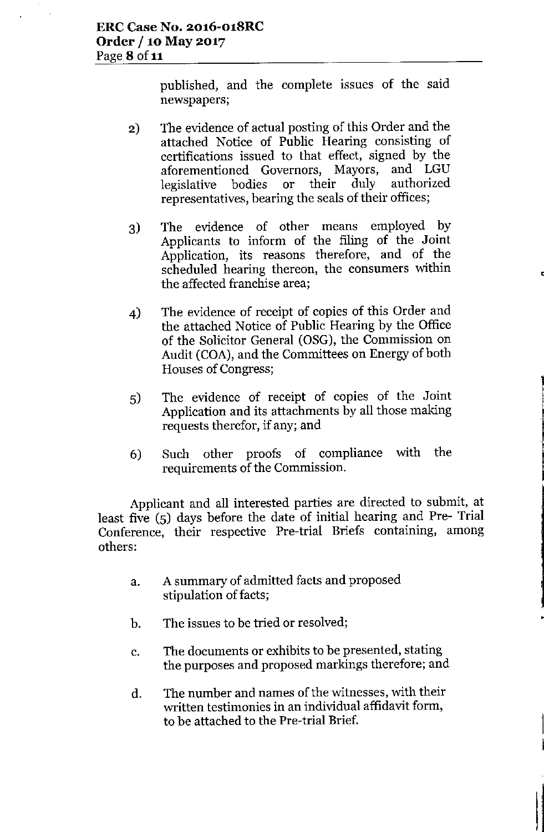published, and the complete issues of the said newspapers;

- 2) The evidence of actual posting of this Order and the attached Notice of Public Hearing consisting of certifications issued to that effect, signed by the<br>aforementioned Governors. Mayors, and LGU aforementioned Governors, Mayors, legislative bodies or their duly authorized representatives, bearing the seals of their offices;
- 3) The evidence of other means employed by Applicants to inform of the filing of the Joint Application, its reasons therefore, and of the scheduled hearing thereon, the consumers within the affected franchise area;
- 4) The evidence of receipt of copies of this Order and the attached Notice of Public Hearing by the Office of the Solicitor General (OSG), the Commission on Audit (COA), and the Committees on Energy of both Houses of Congress;
- 5) The evidence of receipt of copies of the Joint Application and its attachments by all those making requests therefor, if any; and
- 6) Such other proofs of compliance with the requirements of the Commission.

Applicant and all interested parties are directed to submit, at least five (5) days before the date of initial hearing and Pre- Trial Conference, their respective Pre-trial Briefs containing, among others:

- a. A summary of admitted facts and proposed stipulation of facts;
- b. The issues to be tried or resolved;
- c. The documents or exhibits to be presented, stating the purposes and proposed markings therefore; and
- d. The number and names of the witnesses, with their written testimonies in an individual affidavit form, to be attached to the Pre-trial Brief.

I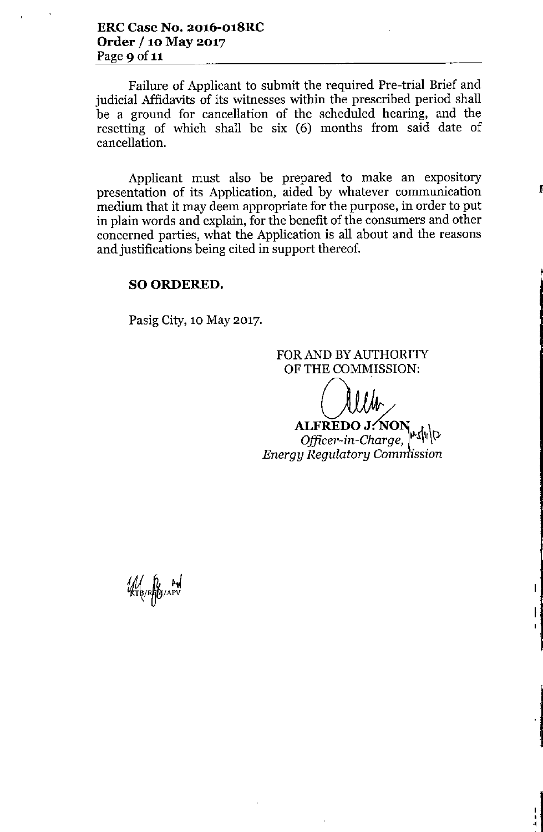Failure of Applicant to submit the required Pre-trial Brief and judicial Affidavits of its witnesses within the prescribed period shall be a ground for cancellation of the scheduled hearing, and the resetting of which shall be six (6) months from said date of cancellation.

Applicant must also be prepared to make an expository presentation of its Application, aided by whatever communication medium that it may deem appropriate for the purpose, in order to put in plain words and explain, for the benefit of the consumers and other concerned parties, what the Application is all about and the reasons and justifications being cited in support thereof.

#### SO ORDERED.

Pasig City, 10 May 2017.

FOR AND BY AUTHORITY OF THE COMMISSION:

~

**ALFREDO J: NON**<br>Officer-in-Charge, " *Energy Regulatory Com ission*

:<br>|<br>!<br>!

 $\mathsf{L}$ 

Ł

W RIB/RADYAPV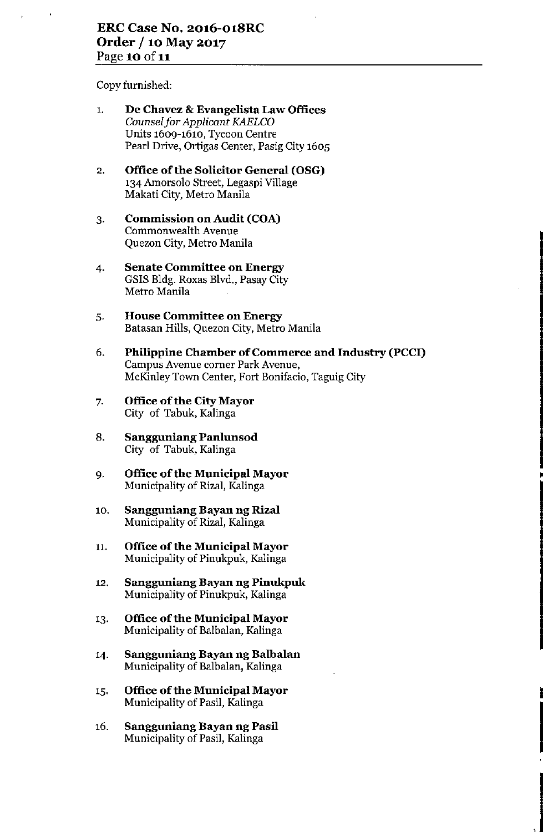Copy furnished:

- 1. De Chavez & Evangelista Law Offices *Counsel for Applicant KAELCO* Units 1609-1610, Tycoon Centre Pearl Drive, Ortigas Center, Pasig City 1605
- 2. Office of the Solicitor General (OSG) '34 Amorsolo Street, Legaspi Village Makati City, Metro Manila
- 3. Commission on Audit (COA) Commonwealth Avenue Quezon City, Metro Manila
- 4. **Senate Committee on Energy** GSIS Bldg. Roxas Blvd., Pasay City Metro Manila
- 5. **House Committee on Energy** Batasan Hills, Quezon City, Metro Manila
- 6. Philippine Chamber of Commerce and Industry (PCCI) Campus Avenue corner Park Avenue, McKinley Town Center, Fort Bonifacio, Taguig City

•

I

- 7. Office of the City Mayor City of Tabuk, Kalinga
- 8. Sangguniang Panlunsod City of Tabuk, Kalinga
- 9. Office of the Municipal Mayor Municipality of Rizal, Kalinga
- 10. **Sangguniang Bayan ng Rizal** Municipality of Rizal, Kalinga
- 11. Office of the Municipal Mayor Municipality of Pinukpuk, Kalinga
- 12. **Sangguniang Bayan ng Pinukpuk** Municipality of Pinukpuk, Kalinga
- '3. Office of the Municipal Mayor Municipality of Balbalan, Kalinga
- '4. Sanggoniang Bayan ng Balbalan Municipality of Balbalan, Kalinga
- '5. Office of the Municipal Mayor Municipality of Pasil, Kalinga
- 16. Sanggoniang Bayan ng Pasil Municipality of Pasil, Kalinga